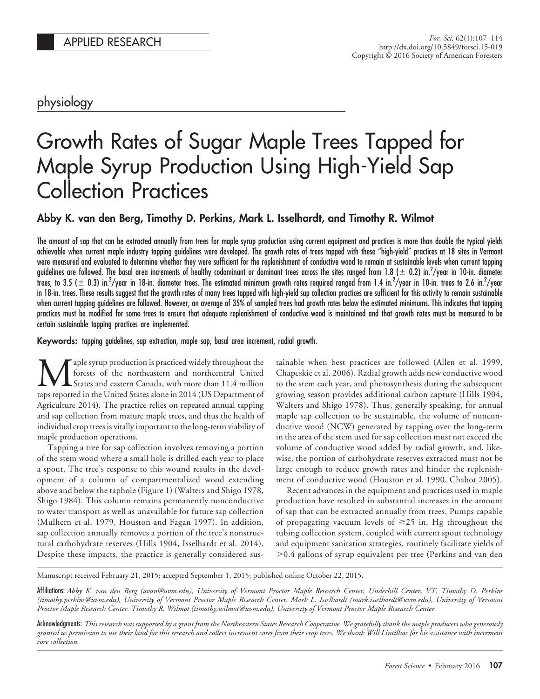# physiology

# Growth Rates of Sugar Maple Trees Tapped for Maple Syrup Production Using High-Yield Sap Collection Practices

# **Abby K. van den Berg, Timothy D. Perkins, Mark L. Isselhardt, and Timothy R. Wilmot**

The amount of sap that can be extracted annually from trees for maple syrup production using current equipment and practices is more than double the typical yields achievable when current maple industry tapping guidelines were developed. The growth rates of trees tapped with these "high-yield" practices at 18 sites in Vermont were measured and evaluated to determine whether they were sufficient for the replenishment of conductive wood to remain at sustainable levels when current tapping guidelines are followed. The basal area increments of healthy codominant or dominant trees across the sites ranged from 1.8 ( $\pm$  0.2) in. $^{2}/$ year in 10-in. diameter trees, to 3.5 ( $\pm$  0.3) in. $^2$ /year in 18-in. diameter trees. The estimated minimum growth rates required ranged from 1.4 in. $^2$ /year in 10-in. trees to 2.6 in. $^2$ /year in 18-in. trees. These results suggest that the growth rates of many trees tapped with high-yield sap collection practices are sufficient for this activity to remain sustainable when current tapping guidelines are followed. However, an average of 35% of sampled trees had growth rates below the estimated minimums. This indicates that tapping practices must be modified for some trees to ensure that adequate replenishment of conductive wood is maintained and that growth rates must be measured to be certain sustainable tapping practices are implemented.

**Keywords:** tapping guidelines, sap extraction, maple sap, basal area increment, radial growth.

aple syrup production is practiced widely throughout the forests of the northeastern and northcentral United States and eastern Canada, with more than 11.4 million taps reported in the United States alone in 2014 (US Department of Agriculture 2014). The practice relies on repeated annual tapping and sap collection from mature maple trees, and thus the health of individual crop trees is vitally important to the long-term viability of maple production operations.

Tapping a tree for sap collection involves removing a portion of the stem wood where a small hole is drilled each year to place a spout. The tree's response to this wound results in the development of a column of compartmentalized wood extending above and below the taphole (Figure 1) (Walters and Shigo 1978, Shigo 1984). This column remains permanently nonconductive to water transport as well as unavailable for future sap collection (Mulhern et al. 1979, Houston and Fagan 1997). In addition, sap collection annually removes a portion of the tree's nonstructural carbohydrate reserves (Hills 1904, Isselhardt et al. 2014). Despite these impacts, the practice is generally considered sustainable when best practices are followed (Allen et al. 1999, Chapeskie et al. 2006). Radial growth adds new conductive wood to the stem each year, and photosynthesis during the subsequent growing season provides additional carbon capture (Hills 1904, Walters and Shigo 1978). Thus, generally speaking, for annual maple sap collection to be sustainable, the volume of nonconductive wood (NCW) generated by tapping over the long-term in the area of the stem used for sap collection must not exceed the volume of conductive wood added by radial growth, and, likewise, the portion of carbohydrate reserves extracted must not be large enough to reduce growth rates and hinder the replenishment of conductive wood (Houston et al. 1990, Chabot 2005).

Recent advances in the equipment and practices used in maple production have resulted in substantial increases in the amount of sap that can be extracted annually from trees. Pumps capable of propagating vacuum levels of  $\geq$ 25 in. Hg throughout the tubing collection system, coupled with current spout technology and equipment sanitation strategies, routinely facilitate yields of  $> 0.4$  gallons of syrup equivalent per tree (Perkins and van den

Manuscript received February 21, 2015; accepted September 1, 2015; published online October 22, 2015.

Affiliations: *Abby K. van den Berg (avan@uvm.edu), University of Vermont Proctor Maple Research Center, Underhill Center, VT. Timothy D. Perkins (timothy.perkins@uvm.edu), University of Vermont Proctor Maple Research Center. Mark L. Isselhardt (mark.isselhardt@uvm.edu), University of Vermont Proctor Maple Research Center. Timothy R. Wilmot (timothy.wilmot@uvm.edu), University of Vermont Proctor Maple Research Center.*

Acknowledgments: *This research was supported by a grant from the Northeastern States Research Cooperative. We gratefully thank the maple producers who generously granted us permission to use their land for this research and collect increment cores from their crop trees. We thank Will Lintilhac for his assistance with increment core collection.*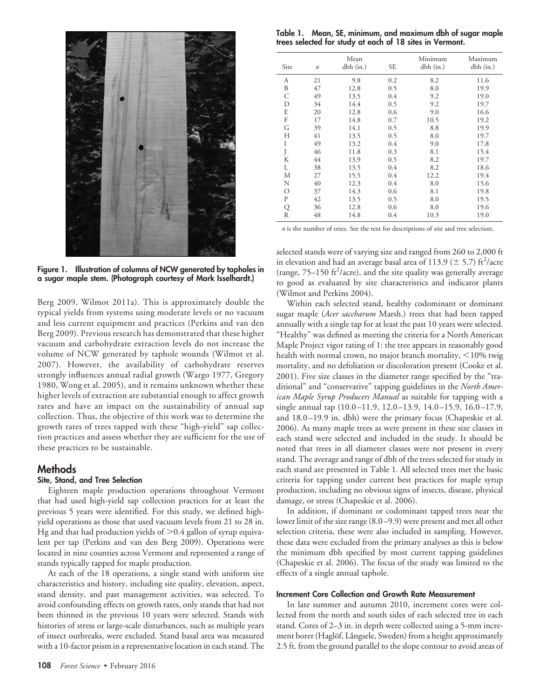

**Figure 1. Illustration of columns of NCW generated by tapholes in a sugar maple stem. (Photograph courtesy of Mark Isselhardt.)**

Berg 2009, Wilmot 2011a). This is approximately double the typical yields from systems using moderate levels or no vacuum and less current equipment and practices (Perkins and van den Berg 2009). Previous research has demonstrated that these higher vacuum and carbohydrate extraction levels do not increase the volume of NCW generated by taphole wounds (Wilmot et al. 2007). However, the availability of carbohydrate reserves strongly influences annual radial growth (Wargo 1977, Gregory 1980, Wong et al. 2005), and it remains unknown whether these higher levels of extraction are substantial enough to affect growth rates and have an impact on the sustainability of annual sap collection. Thus, the objective of this work was to determine the growth rates of trees tapped with these "high-yield" sap collection practices and assess whether they are sufficient for the use of these practices to be sustainable.

# **Methods**

## **Site, Stand, and Tree Selection**

Eighteen maple production operations throughout Vermont that had used high-yield sap collection practices for at least the previous 5 years were identified. For this study, we defined highyield operations as those that used vacuum levels from 21 to 28 in. Hg and that had production yields of  $>$  0.4 gallon of syrup equivalent per tap (Perkins and van den Berg 2009). Operations were located in nine counties across Vermont and represented a range of stands typically tapped for maple production.

At each of the 18 operations, a single stand with uniform site characteristics and history, including site quality, elevation, aspect, stand density, and past management activities, was selected. To avoid confounding effects on growth rates, only stands that had not been thinned in the previous 10 years were selected. Stands with histories of stress or large-scale disturbances, such as multiple years of insect outbreaks, were excluded. Stand basal area was measured with a 10-factor prism in a representative location in each stand. The

**Table 1. Mean, SE, minimum, and maximum dbh of sugar maple trees selected for study at each of 18 sites in Vermont.**

| Site | $\boldsymbol{n}$ | Mean<br>dbh (in.) | SE  | Minimum<br>$dbh$ (in.) | Maximum<br>dbh (in.) |
|------|------------------|-------------------|-----|------------------------|----------------------|
| А    | 21               | 9.8               | 0.2 | 8.2                    | 11.6                 |
| B    | 47               | 12.8              | 0.5 | 8.0                    | 19.9                 |
| C    | 49               | 13.5              | 0.4 | 9.2                    | 19.0                 |
| D    | 34               | 14.4              | 0.5 | 9.2                    | 19.7                 |
| E    | 20               | 12.8              | 0.6 | 9.0                    | 16.6                 |
| F    | 17               | 14.8              | 0.7 | 10.5                   | 19.2                 |
| G    | 39               | 14.1              | 0.5 | 8.8                    | 19.9                 |
| Н    | 41               | 13.5              | 0.5 | 8.0                    | 19.7                 |
| I    | 49               | 13.2              | 0.4 | 9.0                    | 17.8                 |
| J    | 46               | 11.8              | 0.3 | 8.1                    | 15.4                 |
| К    | 44               | 13.9              | 0.5 | 8.2                    | 19.7                 |
| L    | 38               | 13.5              | 0.4 | 8.2                    | 18.6                 |
| М    | 27               | 15.5              | 0.4 | 12.2                   | 19.4                 |
| N    | 40               | 12.3              | 0.4 | 8.0                    | 15.6                 |
| О    | 37               | 14.3              | 0.6 | 8.1                    | 19.8                 |
| P    | 42               | 13.5              | 0.5 | 8.0                    | 19.5                 |
| Q    | 36               | 12.8              | 0.6 | 8.0                    | 19.6                 |
| R    | 48               | 14.8              | 0.4 | 10.3                   | 19.0                 |

*n* is the number of trees. See the text for descriptions of site and tree selection.

selected stands were of varying size and ranged from 260 to 2,000 ft in elevation and had an average basal area of 113.9 ( $\pm$  5.7) ft<sup>2</sup>/acre (range,  $75-150$  ft<sup>2</sup>/acre), and the site quality was generally average to good as evaluated by site characteristics and indicator plants (Wilmot and Perkins 2004).

Within each selected stand, healthy codominant or dominant sugar maple (*Acer saccharum* Marsh.) trees that had been tapped annually with a single tap for at least the past 10 years were selected. "Healthy" was defined as meeting the criteria for a North American Maple Project vigor rating of 1: the tree appears in reasonably good health with normal crown, no major branch mortality,  $\leq$ 10% twig mortality, and no defoliation or discoloration present (Cooke et al. 2001). Five size classes in the diameter range specified by the "traditional" and "conservative" tapping guidelines in the *North American Maple Syrup Producers Manual* as suitable for tapping with a single annual tap (10.0–11.9, 12.0–13.9, 14.0–15.9, 16.0–17.9, and 18.0–19.9 in. dbh) were the primary focus (Chapeskie et al. 2006). As many maple trees as were present in these size classes in each stand were selected and included in the study. It should be noted that trees in all diameter classes were not present in every stand. The average and range of dbh of the trees selected for study in each stand are presented in Table 1. All selected trees met the basic criteria for tapping under current best practices for maple syrup production, including no obvious signs of insects, disease, physical damage, or stress (Chapeskie et al. 2006).

In addition, if dominant or codominant tapped trees near the lower limit of the size range (8.0–9.9) were present and met all other selection criteria, these were also included in sampling. However, these data were excluded from the primary analyses as this is below the minimum dbh specified by most current tapping guidelines (Chapeskie et al. 2006). The focus of the study was limited to the effects of a single annual taphole.

### **Increment Core Collection and Growth Rate Measurement**

In late summer and autumn 2010, increment cores were collected from the north and south sides of each selected tree in each stand. Cores of 2–3 in. in depth were collected using a 5-mm increment borer (Haglöf, Långsele, Sweden) from a height approximately 2.5 ft. from the ground parallel to the slope contour to avoid areas of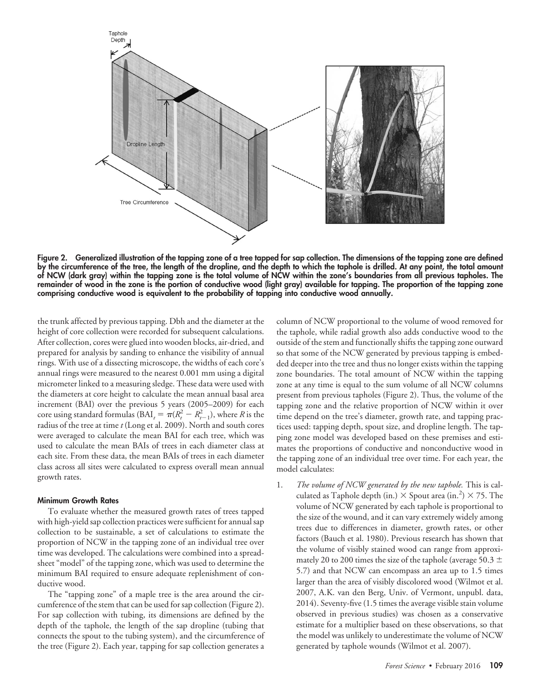

**Figure 2. Generalized illustration of the tapping zone of a tree tapped for sap collection. The dimensions of the tapping zone are defined by the circumference of the tree, the length of the dropline, and the depth to which the taphole is drilled. At any point, the total amount of NCW (dark gray) within the tapping zone is the total volume of NCW within the zone's boundaries from all previous tapholes. The remainder of wood in the zone is the portion of conductive wood (light gray) available for tapping. The proportion of the tapping zone comprising conductive wood is equivalent to the probability of tapping into conductive wood annually.**

the trunk affected by previous tapping. Dbh and the diameter at the height of core collection were recorded for subsequent calculations. After collection, cores were glued into wooden blocks, air-dried, and prepared for analysis by sanding to enhance the visibility of annual rings. With use of a dissecting microscope, the widths of each core's annual rings were measured to the nearest 0.001 mm using a digital micrometer linked to a measuring sledge. These data were used with the diameters at core height to calculate the mean annual basal area increment (BAI) over the previous 5 years (2005–2009) for each core using standard formulas (BAI<sub>t</sub> =  $\pi(R_t^2 - R_{t-1}^2)$ ), where *R* is the radius of the tree at time*t* (Long et al. 2009). North and south cores were averaged to calculate the mean BAI for each tree, which was used to calculate the mean BAIs of trees in each diameter class at each site. From these data, the mean BAIs of trees in each diameter class across all sites were calculated to express overall mean annual growth rates.

#### **Minimum Growth Rates**

To evaluate whether the measured growth rates of trees tapped with high-yield sap collection practices were sufficient for annual sap collection to be sustainable, a set of calculations to estimate the proportion of NCW in the tapping zone of an individual tree over time was developed. The calculations were combined into a spreadsheet "model" of the tapping zone, which was used to determine the minimum BAI required to ensure adequate replenishment of conductive wood.

The "tapping zone" of a maple tree is the area around the circumference of the stem that can be used for sap collection (Figure 2). For sap collection with tubing, its dimensions are defined by the depth of the taphole, the length of the sap dropline (tubing that connects the spout to the tubing system), and the circumference of the tree (Figure 2). Each year, tapping for sap collection generates a column of NCW proportional to the volume of wood removed for the taphole, while radial growth also adds conductive wood to the outside of the stem and functionally shifts the tapping zone outward so that some of the NCW generated by previous tapping is embedded deeper into the tree and thus no longer exists within the tapping zone boundaries. The total amount of NCW within the tapping zone at any time is equal to the sum volume of all NCW columns present from previous tapholes (Figure 2). Thus, the volume of the tapping zone and the relative proportion of NCW within it over time depend on the tree's diameter, growth rate, and tapping practices used: tapping depth, spout size, and dropline length. The tapping zone model was developed based on these premises and estimates the proportions of conductive and nonconductive wood in the tapping zone of an individual tree over time. For each year, the model calculates:

1. *The volume of NCW generated by the new taphole.* This is calculated as Taphole depth (in.)  $\times$  Spout area (in.<sup>2</sup>)  $\times$  75. The volume of NCW generated by each taphole is proportional to the size of the wound, and it can vary extremely widely among trees due to differences in diameter, growth rates, or other factors (Bauch et al. 1980). Previous research has shown that the volume of visibly stained wood can range from approximately 20 to 200 times the size of the taphole (average 50.3  $\pm$ 5.7) and that NCW can encompass an area up to 1.5 times larger than the area of visibly discolored wood (Wilmot et al. 2007, A.K. van den Berg, Univ. of Vermont, unpubl. data, 2014). Seventy-five (1.5 times the average visible stain volume observed in previous studies) was chosen as a conservative estimate for a multiplier based on these observations, so that the model was unlikely to underestimate the volume of NCW generated by taphole wounds (Wilmot et al. 2007).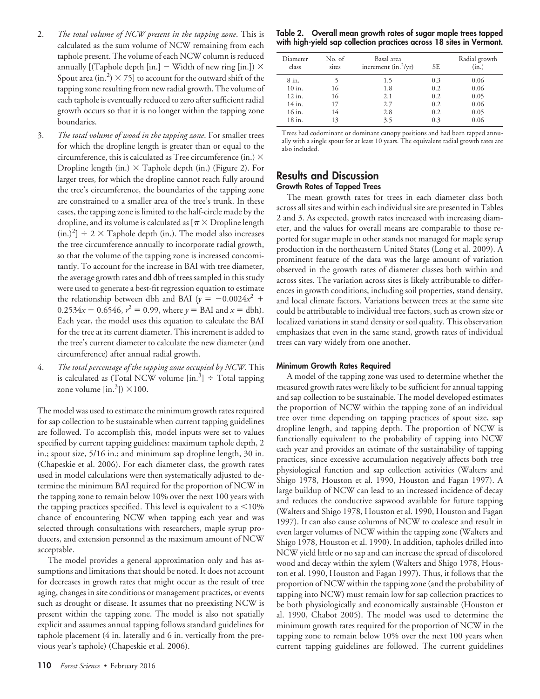- 2. *The total volume of NCW present in the tapping zone*. This is calculated as the sum volume of NCW remaining from each taphole present. The volume of each NCW column is reduced annually [(Taphole depth [in.]  $-$  Width of new ring [in.])  $\times$ Spout area (in.<sup>2</sup>)  $\times$  75] to account for the outward shift of the tapping zone resulting from new radial growth. The volume of each taphole is eventually reduced to zero after sufficient radial growth occurs so that it is no longer within the tapping zone boundaries.
- 3. *The total volume of wood in the tapping zone*. For smaller trees for which the dropline length is greater than or equal to the circumference, this is calculated as Tree circumference (in.)  $\times$ Dropline length (in.)  $\times$  Taphole depth (in.) (Figure 2). For larger trees, for which the dropline cannot reach fully around the tree's circumference, the boundaries of the tapping zone are constrained to a smaller area of the tree's trunk. In these cases, the tapping zone is limited to the half-circle made by the dropline, and its volume is calculated as  $[\pi \times \text{Dropline length}]$  $(in.)<sup>2</sup>]$  ÷ 2 × Taphole depth (in.). The model also increases the tree circumference annually to incorporate radial growth, so that the volume of the tapping zone is increased concomitantly. To account for the increase in BAI with tree diameter, the average growth rates and dbh of trees sampled in this study were used to generate a best-fit regression equation to estimate the relationship between dbh and BAI ( $y = -0.0024x^2 +$  $0.2534x - 0.6546$ ,  $r^2 = 0.99$ , where  $y = \text{BAI}$  and  $x = \text{dbh}$ . Each year, the model uses this equation to calculate the BAI for the tree at its current diameter. This increment is added to the tree's current diameter to calculate the new diameter (and circumference) after annual radial growth.
- 4. *The total percentage of the tapping zone occupied by NCW.* This is calculated as (Total NCW volume  $\left[ \text{in.}^{3} \right] \div$  Total tapping zone volume  $[\text{in.}^3]$ )  $\times$ 100.

The model was used to estimate the minimum growth rates required for sap collection to be sustainable when current tapping guidelines are followed. To accomplish this, model inputs were set to values specified by current tapping guidelines: maximum taphole depth, 2 in.; spout size, 5/16 in.; and minimum sap dropline length, 30 in. (Chapeskie et al. 2006). For each diameter class, the growth rates used in model calculations were then systematically adjusted to determine the minimum BAI required for the proportion of NCW in the tapping zone to remain below 10% over the next 100 years with the tapping practices specified. This level is equivalent to a  $\leq 10\%$ chance of encountering NCW when tapping each year and was selected through consultations with researchers, maple syrup producers, and extension personnel as the maximum amount of NCW acceptable.

The model provides a general approximation only and has assumptions and limitations that should be noted. It does not account for decreases in growth rates that might occur as the result of tree aging, changes in site conditions or management practices, or events such as drought or disease. It assumes that no preexisting NCW is present within the tapping zone. The model is also not spatially explicit and assumes annual tapping follows standard guidelines for taphole placement (4 in. laterally and 6 in. vertically from the previous year's taphole) (Chapeskie et al. 2006).

**Table 2. Overall mean growth rates of sugar maple trees tapped with high-yield sap collection practices across 18 sites in Vermont.**

| Diameter<br>class | No. of<br>sites | Basal area<br>increment $(in.^2/yr)$ | <b>SE</b> | Radial growth<br>(in.) |
|-------------------|-----------------|--------------------------------------|-----------|------------------------|
| 8 in.             |                 | 1.5                                  | 0.3       | 0.06                   |
| 10 in.            | 16              | 1.8                                  | 0.2       | 0.06                   |
| 12 in.            | 16              | 2.1                                  | 0.2       | 0.05                   |
| 14 in.            | 17              | 2.7                                  | 0.2       | 0.06                   |
| 16 in.            | 14              | 2.8                                  | 0.2       | 0.05                   |
| 18 in.            | 13              | 3.5                                  | 0.3       | 0.06                   |

Trees had codominant or dominant canopy positions and had been tapped annually with a single spout for at least 10 years. The equivalent radial growth rates are also included.

## **Results and Discussion Growth Rates of Tapped Trees**

The mean growth rates for trees in each diameter class both across all sites and within each individual site are presented in Tables 2 and 3. As expected, growth rates increased with increasing diameter, and the values for overall means are comparable to those reported for sugar maple in other stands not managed for maple syrup production in the northeastern United States (Long et al. 2009). A prominent feature of the data was the large amount of variation observed in the growth rates of diameter classes both within and across sites. The variation across sites is likely attributable to differences in growth conditions, including soil properties, stand density, and local climate factors. Variations between trees at the same site could be attributable to individual tree factors, such as crown size or localized variations in stand density or soil quality. This observation emphasizes that even in the same stand, growth rates of individual trees can vary widely from one another.

### **Minimum Growth Rates Required**

A model of the tapping zone was used to determine whether the measured growth rates were likely to be sufficient for annual tapping and sap collection to be sustainable. The model developed estimates the proportion of NCW within the tapping zone of an individual tree over time depending on tapping practices of spout size, sap dropline length, and tapping depth. The proportion of NCW is functionally equivalent to the probability of tapping into NCW each year and provides an estimate of the sustainability of tapping practices, since excessive accumulation negatively affects both tree physiological function and sap collection activities (Walters and Shigo 1978, Houston et al. 1990, Houston and Fagan 1997). A large buildup of NCW can lead to an increased incidence of decay and reduces the conductive sapwood available for future tapping (Walters and Shigo 1978, Houston et al. 1990, Houston and Fagan 1997). It can also cause columns of NCW to coalesce and result in even larger volumes of NCW within the tapping zone (Walters and Shigo 1978, Houston et al. 1990). In addition, tapholes drilled into NCW yield little or no sap and can increase the spread of discolored wood and decay within the xylem (Walters and Shigo 1978, Houston et al. 1990, Houston and Fagan 1997). Thus, it follows that the proportion of NCW within the tapping zone (and the probability of tapping into NCW) must remain low for sap collection practices to be both physiologically and economically sustainable (Houston et al. 1990, Chabot 2005). The model was used to determine the minimum growth rates required for the proportion of NCW in the tapping zone to remain below 10% over the next 100 years when current tapping guidelines are followed. The current guidelines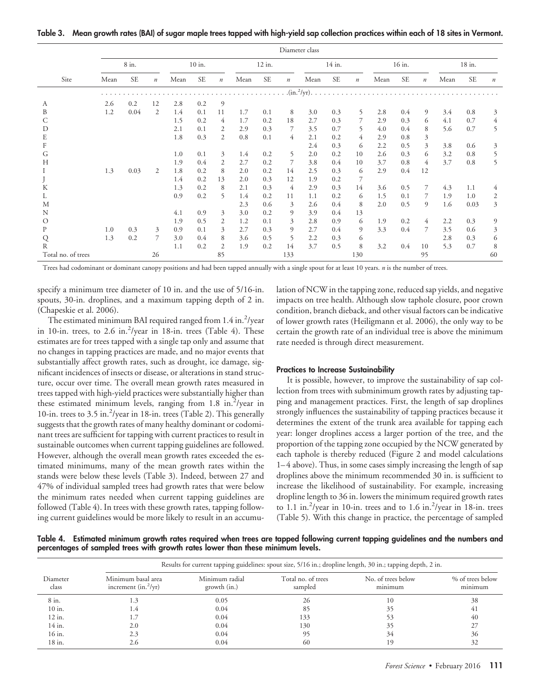**Table 3. Mean growth rates (BAI) of sugar maple trees tapped with high-yield sap collection practices within each of 18 sites in Vermont.**

|                    | Diameter class |           |                  |        |           |                  |        |           |                  |                                 |           |                  |      |           |                  |      |           |         |
|--------------------|----------------|-----------|------------------|--------|-----------|------------------|--------|-----------|------------------|---------------------------------|-----------|------------------|------|-----------|------------------|------|-----------|---------|
|                    | 8 in.          |           |                  | 10 in. |           |                  | 12 in. |           | 14 in.           |                                 | 16 in.    |                  |      | 18 in.    |                  |      |           |         |
| Site               | Mean           | <b>SE</b> | $\boldsymbol{n}$ | Mean   | <b>SE</b> | $\boldsymbol{n}$ | Mean   | <b>SE</b> | $\boldsymbol{n}$ | Mean                            | <b>SE</b> | $\boldsymbol{n}$ | Mean | <b>SE</b> | $\boldsymbol{n}$ | Mean | <b>SE</b> | $\it n$ |
|                    |                |           |                  |        |           |                  |        |           |                  | $\cdot$ (in. <sup>2</sup> /yr). |           |                  |      |           |                  |      |           |         |
| А                  | 2.6            | 0.2       | 12               | 2.8    | 0.2       | 9                |        |           |                  |                                 |           |                  |      |           |                  |      |           |         |
| B                  | 1.2            | 0.04      | 2                | 1.4    | 0.1       | 11               | 1.7    | 0.1       | 8                | 3.0                             | 0.3       | 5                | 2.8  | 0.4       | 9                | 3.4  | 0.8       | 3       |
|                    |                |           |                  | 1.5    | 0.2       | 4                | 1.7    | 0.2       | 18               | 2.7                             | 0.3       | 7                | 2.9  | 0.3       | 6                | 4.1  | 0.7       | 4       |
| D                  |                |           |                  | 2.1    | 0.1       | 2                | 2.9    | 0.3       | 7                | 3.5                             | 0.7       | 5                | 4.0  | 0.4       | 8                | 5.6  | 0.7       | 5       |
| E                  |                |           |                  | 1.8    | 0.3       | 2                | 0.8    | 0.1       | 4                | 2.1                             | 0.2       | 4                | 2.9  | 0.8       | $\mathfrak{Z}$   |      |           |         |
|                    |                |           |                  |        |           |                  |        |           |                  | 2.4                             | 0.3       | 6                | 2.2  | 0.5       | 3                | 3.8  | 0.6       | 3       |
| G                  |                |           |                  | 1.0    | 0.1       | 3                | 1.4    | 0.2       | 5                | 2.0                             | 0.2       | 10               | 2.6  | 0.3       | 6                | 3.2  | 0.8       | 5       |
| Н                  |                |           |                  | 1.9    | 0.4       | 2                | 2.7    | 0.2       | 7                | 3.8                             | 0.4       | 10               | 3.7  | 0.8       | 4                | 3.7  | 0.8       | 5       |
|                    | 1.3            | 0.03      | 2                | 1.8    | 0.2       | 8                | 2.0    | 0.2       | 14               | 2.5                             | 0.3       | 6                | 2.9  | 0.4       | 12               |      |           |         |
|                    |                |           |                  | 1.4    | 0.2       | 13               | 2.0    | 0.3       | 12               | 1.9                             | 0.2       | 7                |      |           |                  |      |           |         |
| K                  |                |           |                  | 1.3    | 0.2       | 8                | 2.1    | 0.3       | 4                | 2.9                             | 0.3       | 14               | 3.6  | 0.5       | 7                | 4.3  | 1.1       | 4       |
|                    |                |           |                  | 0.9    | 0.2       | 5                | 1.4    | 0.2       | 11               | 1.1                             | 0.2       | 6                | 1.5  | 0.1       | 7                | 1.9  | 1.0       | 2       |
| М                  |                |           |                  |        |           |                  | 2.3    | 0.6       | 3                | 2.6                             | 0.4       | 8                | 2.0  | 0.5       | 9                | 1.6  | 0.03      | 3       |
| N                  |                |           |                  | 4.1    | 0.9       | 3                | 3.0    | 0.2       | 9                | 3.9                             | 0.4       | 13               |      |           |                  |      |           |         |
| $\Omega$           |                |           |                  | 1.9    | 0.5       | 2                | 1.2    | 0.1       | 3                | 2.8                             | 0.9       | 6                | 1.9  | 0.2       | 4                | 2.2  | 0.3       | 9       |
| P                  | 1.0            | 0.3       | 3                | 0.9    | 0.1       | 3                | 2.7    | 0.3       | 9                | 2.7                             | 0.4       | 9                | 3.3  | 0.4       | 7                | 3.5  | 0.6       | 3       |
| Q                  | 1.3            | 0.2       | 7                | 3.0    | 0.4       | 8                | 3.6    | 0.5       | 5                | 2.2                             | 0.3       | 6                |      |           |                  | 2.8  | 0.3       | 6       |
| R                  |                |           |                  | 1.1    | 0.2       | $\overline{2}$   | 1.9    | 0.2       | 14               | 3.7                             | 0.5       | 8                | 3.2  | 0.4       | 10               | 5.3  | 0.7       | 8       |
| Total no. of trees |                |           | 26               |        |           | 85               |        |           | 133              |                                 |           | 130              |      |           | 95               |      |           | 60      |

Trees had codominant or dominant canopy positions and had been tapped annually with a single spout for at least 10 years. *n* is the number of trees.

specify a minimum tree diameter of 10 in. and the use of 5/16-in. spouts, 30-in. droplines, and a maximum tapping depth of 2 in. (Chapeskie et al. 2006).

The estimated minimum BAI required ranged from 1.4 in.<sup>2</sup>/year in 10-in. trees, to 2.6 in. $^{2}/$ year in 18-in. trees (Table 4). These estimates are for trees tapped with a single tap only and assume that no changes in tapping practices are made, and no major events that substantially affect growth rates, such as drought, ice damage, significant incidences of insects or disease, or alterations in stand structure, occur over time. The overall mean growth rates measured in trees tapped with high-yield practices were substantially higher than these estimated minimum levels, ranging from 1.8 in.<sup>2</sup>/year in 10-in. trees to 3.5 in.<sup>2</sup>/year in 18-in. trees (Table 2). This generally suggests that the growth rates of many healthy dominant or codominant trees are sufficient for tapping with current practices to result in sustainable outcomes when current tapping guidelines are followed. However, although the overall mean growth rates exceeded the estimated minimums, many of the mean growth rates within the stands were below these levels (Table 3). Indeed, between 27 and 47% of individual sampled trees had growth rates that were below the minimum rates needed when current tapping guidelines are followed (Table 4). In trees with these growth rates, tapping following current guidelines would be more likely to result in an accumulation of NCW in the tapping zone, reduced sap yields, and negative impacts on tree health. Although slow taphole closure, poor crown condition, branch dieback, and other visual factors can be indicative of lower growth rates (Heiligmann et al. 2006), the only way to be certain the growth rate of an individual tree is above the minimum rate needed is through direct measurement.

#### **Practices to Increase Sustainability**

It is possible, however, to improve the sustainability of sap collection from trees with subminimum growth rates by adjusting tapping and management practices. First, the length of sap droplines strongly influences the sustainability of tapping practices because it determines the extent of the trunk area available for tapping each year: longer droplines access a larger portion of the tree, and the proportion of the tapping zone occupied by the NCW generated by each taphole is thereby reduced (Figure 2 and model calculations 1–4 above). Thus, in some cases simply increasing the length of sap droplines above the minimum recommended 30 in. is sufficient to increase the likelihood of sustainability. For example, increasing dropline length to 36 in. lowers the minimum required growth rates to 1.1 in.<sup>2</sup>/year in 10-in. trees and to 1.6 in.<sup>2</sup>/year in 18-in. trees (Table 5). With this change in practice, the percentage of sampled

**Table 4. Estimated minimum growth rates required when trees are tapped following current tapping guidelines and the numbers and percentages of sampled trees with growth rates lower than these minimum levels.**

|                   | Results for current tapping guidelines: spout size, 5/16 in.; dropline length, 30 in.; tapping depth, 2 in. |                                |                               |                               |                             |  |  |  |  |  |
|-------------------|-------------------------------------------------------------------------------------------------------------|--------------------------------|-------------------------------|-------------------------------|-----------------------------|--|--|--|--|--|
| Diameter<br>class | Minimum basal area<br>increment $(in.^2/yr)$                                                                | Minimum radial<br>growth (in.) | Total no. of trees<br>sampled | No. of trees below<br>minimum | % of trees below<br>minimum |  |  |  |  |  |
| 8 in.             | 1.3                                                                                                         | 0.05                           | 26                            | 10                            | 38                          |  |  |  |  |  |
| 10 in.            | $1.4^{\circ}$                                                                                               | 0.04                           | 85                            | 35                            | 41                          |  |  |  |  |  |
| 12 in.            |                                                                                                             | 0.04                           | 133                           |                               | 40                          |  |  |  |  |  |
| 14 in.            | 2.0                                                                                                         | 0.04                           | 130                           | 35                            | 27                          |  |  |  |  |  |
| 16 in.            | 2.3                                                                                                         | 0.04                           | 95                            | 34                            | 36                          |  |  |  |  |  |
| 18 in.            | 2.6                                                                                                         | 0.04                           | 60                            | 19                            | 32                          |  |  |  |  |  |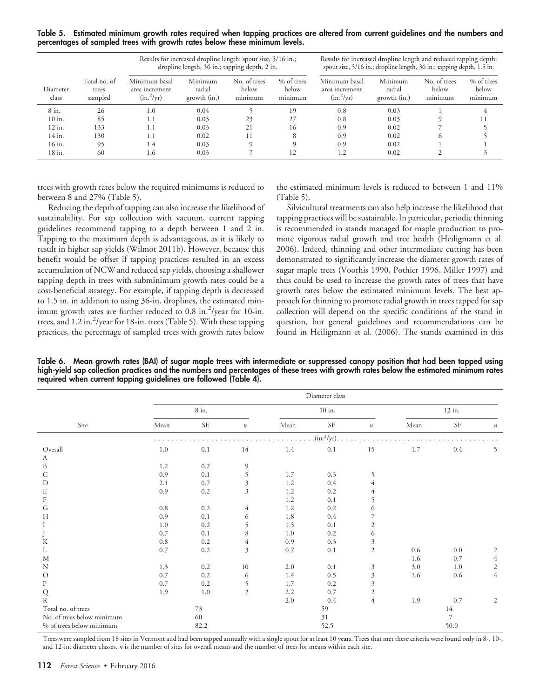**Table 5. Estimated minimum growth rates required when tapping practices are altered from current guidelines and the numbers and percentages of sampled trees with growth rates below these minimum levels.**

|                   |                                  |                                                 | Results for increased dropline length: spout size, 5/16 in.;<br>dropline length, 36 in.; tapping depth, 2 in. |                                  |                                | Results for increased dropline length and reduced tapping depth:<br>spout size, 5/16 in.; dropline length, 36 in.; tapping depth, 1.5 in. |                                   |                                  |                                |  |  |
|-------------------|----------------------------------|-------------------------------------------------|---------------------------------------------------------------------------------------------------------------|----------------------------------|--------------------------------|-------------------------------------------------------------------------------------------------------------------------------------------|-----------------------------------|----------------------------------|--------------------------------|--|--|
| Diameter<br>class | Total no. of<br>trees<br>sampled | Minimum basal<br>area increment<br>$(in.^2/yr)$ | Minimum<br>radial<br>growth (in.)                                                                             | No. of trees<br>below<br>minimum | % of trees<br>below<br>minimum | Minimum basal<br>area increment<br>$(in.^2/yr)$                                                                                           | Minimum<br>radial<br>growth (in.) | No. of trees<br>below<br>minimum | % of trees<br>below<br>minimum |  |  |
| 8 in.             | 26                               | 1.0                                             | 0.04                                                                                                          |                                  | 19                             | 0.8                                                                                                                                       | 0.03                              |                                  |                                |  |  |
| 10 in.            | 85                               | 1.1                                             | 0.03                                                                                                          | 23                               | 27                             | 0.8                                                                                                                                       | 0.03                              |                                  |                                |  |  |
| 12 in.            | 133                              | 1.1                                             | 0.03                                                                                                          | 21                               | 16                             | 0.9                                                                                                                                       | 0.02                              |                                  |                                |  |  |
| 14 in.            | 130                              | 1.1                                             | 0.02                                                                                                          | 11                               | 8                              | 0.9                                                                                                                                       | 0.02                              | $\Gamma$                         |                                |  |  |
| 16 in.            | 95                               | 1.4                                             | 0.03                                                                                                          | $\Omega$                         |                                | 0.9                                                                                                                                       | 0.02                              |                                  |                                |  |  |
| 18 in.            | 60                               | 1.6                                             | 0.03                                                                                                          |                                  |                                | 1.2                                                                                                                                       | 0.02                              |                                  |                                |  |  |

trees with growth rates below the required minimums is reduced to between 8 and 27% (Table 5).

the estimated minimum levels is reduced to between 1 and 11% (Table 5).

Reducing the depth of tapping can also increase the likelihood of sustainability. For sap collection with vacuum, current tapping guidelines recommend tapping to a depth between 1 and 2 in. Tapping to the maximum depth is advantageous, as it is likely to result in higher sap yields (Wilmot 2011b). However, because this benefit would be offset if tapping practices resulted in an excess accumulation of NCW and reduced sap yields, choosing a shallower tapping depth in trees with subminimum growth rates could be a cost-beneficial strategy. For example, if tapping depth is decreased to 1.5 in. in addition to using 36-in. droplines, the estimated minimum growth rates are further reduced to 0.8 in.<sup>2</sup>/year for 10-in. trees, and 1.2 in.<sup>2</sup>/year for 18-in. trees (Table 5). With these tapping practices, the percentage of sampled trees with growth rates below

Silvicultural treatments can also help increase the likelihood that tapping practices will be sustainable. In particular, periodic thinning is recommended in stands managed for maple production to promote vigorous radial growth and tree health (Heiligmann et al. 2006). Indeed, thinning and other intermediate cutting has been demonstrated to significantly increase the diameter growth rates of sugar maple trees (Voorhis 1990, Pothier 1996, Miller 1997) and thus could be used to increase the growth rates of trees that have growth rates below the estimated minimum levels. The best approach for thinning to promote radial growth in trees tapped for sap collection will depend on the specific conditions of the stand in question, but general guidelines and recommendations can be found in Heiligmann et al. (2006). The stands examined in this

**Table 6. Mean growth rates (BAI) of sugar maple trees with intermediate or suppressed canopy position that had been tapped using high-yield sap collection practices and the numbers and percentages of these trees with growth rates below the estimated minimum rates required when current tapping guidelines are followed (Table 4).**

|                                     | Diameter class |       |                  |      |                              |                  |        |                |                  |  |  |
|-------------------------------------|----------------|-------|------------------|------|------------------------------|------------------|--------|----------------|------------------|--|--|
|                                     |                | 8 in. |                  |      | $10$ in.                     |                  | 12 in. |                |                  |  |  |
| Site                                | Mean           | SE    | $\boldsymbol{n}$ | Mean | $\ensuremath{\mathsf{SE}}$   | $\boldsymbol{n}$ | Mean   | <b>SE</b>      | $\boldsymbol{n}$ |  |  |
|                                     |                |       |                  |      | $(\text{in.}^2/\text{yr})$ . |                  |        |                |                  |  |  |
| Overall                             | 1.0            | 0.1   | 14               | 1.4  | $0.1\,$                      | 15               | 1.7    | $0.4\,$        | 5                |  |  |
| A                                   |                |       |                  |      |                              |                  |        |                |                  |  |  |
| B                                   | 1.2            | 0.2   | 9                |      |                              |                  |        |                |                  |  |  |
| C                                   | 0.9            | 0.1   | 5                | 1.7  | 0.3                          | 5                |        |                |                  |  |  |
| D                                   | 2.1            | 0.7   | 3                | 1.2  | 0.4                          | 4                |        |                |                  |  |  |
| E                                   | 0.9            | 0.2   | 3                | 1.2  | 0.2                          | 4                |        |                |                  |  |  |
| $\rm F$                             |                |       |                  | 1.2  | 0.1                          | 5                |        |                |                  |  |  |
| G                                   | 0.8            | 0.2   | 4                | 1.2  | 0.2                          | 6                |        |                |                  |  |  |
| $H_{\rm 2}$                         | 0.9            | 0.1   | 6                | 1.8  | 0.4                          | 7                |        |                |                  |  |  |
| Ι                                   | 1.0            | 0.2   | 5                | 1.5  | 0.1                          | $\overline{c}$   |        |                |                  |  |  |
| J                                   | 0.7            | 0.1   | 8                | 1.0  | 0.2                          | 6                |        |                |                  |  |  |
| K                                   | 0.8            | 0.2   | 4                | 0.9  | 0.3                          | $\mathfrak{Z}$   |        |                |                  |  |  |
| L                                   | 0.7            | 0.2   | 3                | 0.7  | 0.1                          | $\sqrt{2}$       | 0.6    | 0.0            | 2                |  |  |
| M                                   |                |       |                  |      |                              |                  | 1.6    | 0.7            | $\overline{4}$   |  |  |
| N                                   | 1.3            | 0.2   | 10               | 2.0  | 0.1                          | $\mathfrak{Z}$   | 3.0    | 1.0            | $\mathbf{2}$     |  |  |
| $\circ$                             | 0.7            | 0.2   | 6                | 1.4  | 0.5                          | $\mathfrak{Z}$   | 1.6    | 0.6            | $\overline{4}$   |  |  |
| $\mathbf{P}$                        | 0.7            | 0.2   | 5                | 1.7  | 0.2                          | $\mathfrak{Z}$   |        |                |                  |  |  |
| Q                                   | 1.9            | 1.0   | $\overline{2}$   | 2.2  | 0.7                          | $\mathfrak{2}$   |        |                |                  |  |  |
| $\mathbb{R}$                        |                |       |                  | 2.0  | 0.4                          | $\overline{4}$   | 1.9    | 0.7            | 2                |  |  |
| Total no. of trees                  |                | 73    |                  | 59   |                              |                  | 14     |                |                  |  |  |
| No. of trees below minimum          |                | 60    |                  |      | 31                           |                  |        | $\overline{7}$ |                  |  |  |
| $\%$ of trees below minimum<br>82.2 |                |       | 52.5             |      |                              | 50.0             |        |                |                  |  |  |

Trees were sampled from 18 sites in Vermont and had been tapped annually with a single spout for at least 10 years. Trees that met these criteria were found only in 8-, 10-, and 12-in. diameter classes. *n* is the number of sites for overall means and the number of trees for means within each site.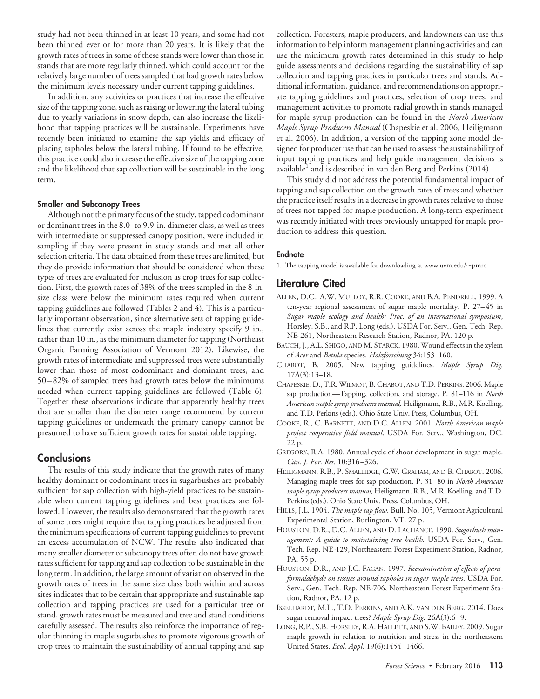study had not been thinned in at least 10 years, and some had not been thinned ever or for more than 20 years. It is likely that the growth rates of trees in some of these stands were lower than those in stands that are more regularly thinned, which could account for the relatively large number of trees sampled that had growth rates below the minimum levels necessary under current tapping guidelines.

In addition, any activities or practices that increase the effective size of the tapping zone, such as raising or lowering the lateral tubing due to yearly variations in snow depth, can also increase the likelihood that tapping practices will be sustainable. Experiments have recently been initiated to examine the sap yields and efficacy of placing tapholes below the lateral tubing. If found to be effective, this practice could also increase the effective size of the tapping zone and the likelihood that sap collection will be sustainable in the long term.

#### **Smaller and Subcanopy Trees**

Although not the primary focus of the study, tapped codominant or dominant trees in the 8.0- to 9.9-in. diameter class, as well as trees with intermediate or suppressed canopy position, were included in sampling if they were present in study stands and met all other selection criteria. The data obtained from these trees are limited, but they do provide information that should be considered when these types of trees are evaluated for inclusion as crop trees for sap collection. First, the growth rates of 38% of the trees sampled in the 8-in. size class were below the minimum rates required when current tapping guidelines are followed (Tables 2 and 4). This is a particularly important observation, since alternative sets of tapping guidelines that currently exist across the maple industry specify 9 in., rather than 10 in., as the minimum diameter for tapping (Northeast Organic Farming Association of Vermont 2012). Likewise, the growth rates of intermediate and suppressed trees were substantially lower than those of most codominant and dominant trees, and 50–82% of sampled trees had growth rates below the minimums needed when current tapping guidelines are followed (Table 6). Together these observations indicate that apparently healthy trees that are smaller than the diameter range recommend by current tapping guidelines or underneath the primary canopy cannot be presumed to have sufficient growth rates for sustainable tapping.

# **Conclusions**

The results of this study indicate that the growth rates of many healthy dominant or codominant trees in sugarbushes are probably sufficient for sap collection with high-yield practices to be sustainable when current tapping guidelines and best practices are followed. However, the results also demonstrated that the growth rates of some trees might require that tapping practices be adjusted from the minimum specifications of current tapping guidelines to prevent an excess accumulation of NCW. The results also indicated that many smaller diameter or subcanopy trees often do not have growth rates sufficient for tapping and sap collection to be sustainable in the long term. In addition, the large amount of variation observed in the growth rates of trees in the same size class both within and across sites indicates that to be certain that appropriate and sustainable sap collection and tapping practices are used for a particular tree or stand, growth rates must be measured and tree and stand conditions carefully assessed. The results also reinforce the importance of regular thinning in maple sugarbushes to promote vigorous growth of crop trees to maintain the sustainability of annual tapping and sap collection. Foresters, maple producers, and landowners can use this information to help inform management planning activities and can use the minimum growth rates determined in this study to help guide assessments and decisions regarding the sustainability of sap collection and tapping practices in particular trees and stands. Additional information, guidance, and recommendations on appropriate tapping guidelines and practices, selection of crop trees, and management activities to promote radial growth in stands managed for maple syrup production can be found in the *North American Maple Syrup Producers Manual* (Chapeskie et al. 2006, Heiligmann et al. 2006). In addition, a version of the tapping zone model designed for producer use that can be used to assess the sustainability of input tapping practices and help guide management decisions is available<sup>1</sup> and is described in van den Berg and Perkins (2014).

This study did not address the potential fundamental impact of tapping and sap collection on the growth rates of trees and whether the practice itself results in a decrease in growth rates relative to those of trees not tapped for maple production. A long-term experiment was recently initiated with trees previously untapped for maple production to address this question.

#### **Endnote**

1. The tapping model is available for downloading at [www.uvm.edu/](http://www.uvm.edu/∼pmrc) $\sim$ pmrc.

# **Literature Cited**

- ALLEN, D.C., A.W. MULLOY, R.R. COOKE, AND B.A. PENDRELL. 1999. A ten-year regional assessment of sugar maple mortality. P. 27–45 in *Sugar maple ecology and health: Proc. of an international symposium*, Horsley, S.B., and R.P. Long (eds.). USDA For. Serv., Gen. Tech. Rep. NE-261, Northeastern Research Station, Radnor, PA. 120 p.
- BAUCH, J., A.L. SHIGO, AND M. STARCK. 1980. Wound effects in the xylem of *Acer* and *Betula* species. *Holzforschung* 34:153–160.
- CHABOT, B. 2005. New tapping guidelines. *Maple Syrup Dig.* 17A(3):13–18.
- CHAPESKIE, D., T.R. WILMOT, B. CHABOT, AND T.D. PERKINS. 2006. Maple sap production—Tapping, collection, and storage. P. 81–116 in *North American maple syrup producers manual,* Heiligmann, R.B., M.R. Koelling, and T.D. Perkins (eds.). Ohio State Univ. Press, Columbus, OH.
- COOKE, R., C. BARNETT, AND D.C. ALLEN. 2001. *North American maple project cooperative field manual*. USDA For. Serv., Washington, DC. 22 p.
- GREGORY, R.A. 1980. Annual cycle of shoot development in sugar maple. *Can. J. For. Res.* 10:316–326.
- HEILIGMANN, R.B., P. SMALLIDGE, G.W. GRAHAM, AND B. CHABOT. 2006. Managing maple trees for sap production. P. 31–80 in *North American maple syrup producers manual,* Heiligmann, R.B., M.R. Koelling, and T.D. Perkins (eds.). Ohio State Univ. Press, Columbus, OH.
- HILLS, J.L. 1904. *The maple sap flow*. Bull. No. 105, Vermont Agricultural Experimental Station, Burlington, VT. 27 p.
- HOUSTON, D.R., D.C. ALLEN, AND D. LACHANCE. 1990. *Sugarbush management: A guide to maintaining tree health*. USDA For. Serv., Gen. Tech. Rep. NE-129, Northeastern Forest Experiment Station, Radnor, PA. 55 p.
- HOUSTON, D.R., AND J.C. FAGAN. 1997. *Reexamination of effects of paraformaldehyde on tissues around tapholes in sugar maple trees*. USDA For. Serv., Gen. Tech. Rep. NE-706, Northeastern Forest Experiment Station, Radnor, PA. 12 p.
- ISSELHARDT, M.L., T.D. PERKINS, AND A.K. VAN DEN BERG. 2014. Does sugar removal impact trees? *Maple Syrup Dig.* 26A(3):6–9.
- LONG, R.P., S.B. HORSLEY, R.A. HALLETT, AND S.W. BAILEY. 2009. Sugar maple growth in relation to nutrition and stress in the northeastern United States. *Ecol. Appl.* 19(6):1454–1466.